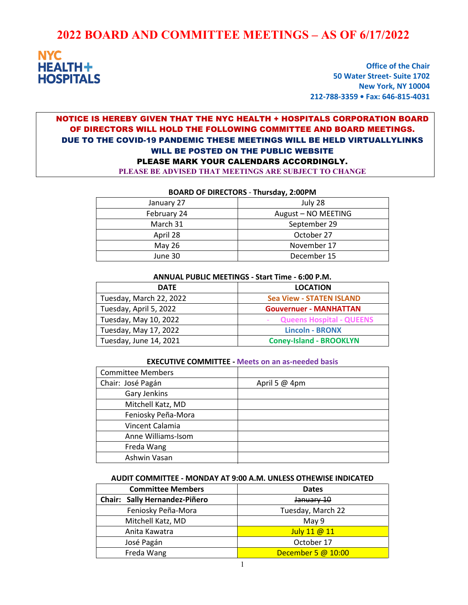# **2022 BOARD AND COMMITTEE MEETINGS – AS OF 6/17/2022**



**Office of the Chair 50 Water Street- Suite 1702 New York, NY 10004 212-788-3359 • Fax: 646-815-4031**

# NOTICE IS HEREBY GIVEN THAT THE NYC HEALTH + HOSPITALS CORPORATION BOARD OF DIRECTORS WILL HOLD THE FOLLOWING COMMITTEE AND BOARD MEETINGS. DUE TO THE COVID-19 PANDEMIC THESE MEETINGS WILL BE HELD VIRTUALLYLINKS WILL BE POSTED ON THE PUBLIC WEBSITE PLEASE MARK YOUR CALENDARS ACCORDINGLY.

**PLEASE BE ADVISED THAT MEETINGS ARE SUBJECT TO CHANGE**

| January 27  | July 28             |
|-------------|---------------------|
| February 24 | August - NO MEETING |
| March 31    | September 29        |
| April 28    | October 27          |
| May 26      | November 17         |
| June 30     | December 15         |
|             |                     |

#### **BOARD OF DIRECTORS** - **Thursday, 2:00PM**

| ANNUAL PUBLIC MEETINGS - Start Time - 6:00 P.M. |                                 |
|-------------------------------------------------|---------------------------------|
| <b>DATE</b>                                     | <b>LOCATION</b>                 |
| Tuesday, March 22, 2022                         | <b>Sea View - STATEN ISLAND</b> |
| Tuesday, April 5, 2022                          | <b>Gouvernuer - MANHATTAN</b>   |
| Tuesday, May 10, 2022                           | <b>Queens Hospital - QUEENS</b> |
| Tuesday, May 17, 2022                           | <b>Lincoln - BRONX</b>          |
| Tuesday, June 14, 2021                          | <b>Coney-Island - BROOKLYN</b>  |

#### **EXECUTIVE COMMITTEE - Meets on an as-needed basis**

| <b>Committee Members</b> |                 |
|--------------------------|-----------------|
| Chair: José Pagán        | April 5 $@$ 4pm |
| Gary Jenkins             |                 |
| Mitchell Katz, MD        |                 |
| Feniosky Peña-Mora       |                 |
| Vincent Calamia          |                 |
| Anne Williams-Isom       |                 |
| Freda Wang               |                 |
| Ashwin Vasan             |                 |

#### **AUDIT COMMITTEE - MONDAY AT 9:00 A.M. UNLESS OTHEWISE INDICATED**

| <b>Committee Members</b>      | <b>Dates</b>       |
|-------------------------------|--------------------|
| Chair: Sally Hernandez-Piñero | January 10         |
| Feniosky Peña-Mora            | Tuesday, March 22  |
| Mitchell Katz, MD             | May 9              |
| Anita Kawatra                 | July 11 @ 11       |
| José Pagán                    | October 17         |
| Freda Wang                    | December 5 @ 10:00 |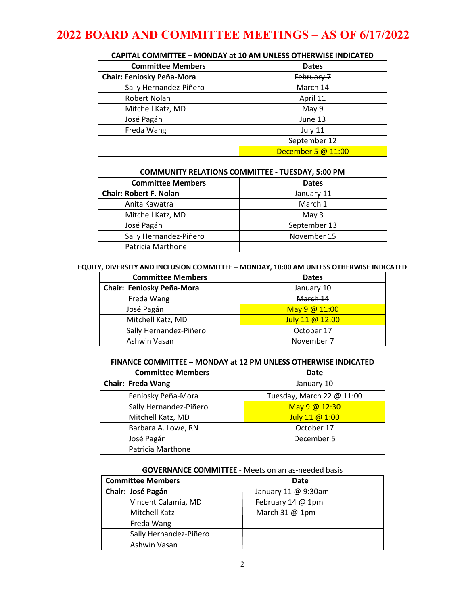# **2022 BOARD AND COMMITTEE MEETINGS – AS OF 6/17/2022**

| <b>Committee Members</b>         | <b>Dates</b>       |
|----------------------------------|--------------------|
| <b>Chair: Feniosky Peña-Mora</b> | February 7         |
| Sally Hernandez-Piñero           | March 14           |
| Robert Nolan                     | April 11           |
| Mitchell Katz, MD                | May 9              |
| José Pagán                       | June 13            |
| Freda Wang                       | July 11            |
|                                  | September 12       |
|                                  | December 5 @ 11:00 |

## **CAPITAL COMMITTEE – MONDAY at 10 AM UNLESS OTHERWISE INDICATED**

#### **COMMUNITY RELATIONS COMMITTEE - TUESDAY, 5:00 PM**

| <b>Committee Members</b>      | <b>Dates</b> |
|-------------------------------|--------------|
| <b>Chair: Robert F. Nolan</b> | January 11   |
| Anita Kawatra                 | March 1      |
| Mitchell Katz, MD             | May 3        |
| José Pagán                    | September 13 |
| Sally Hernandez-Piñero        | November 15  |
| Patricia Marthone             |              |

#### **EQUITY, DIVERSITY AND INCLUSION COMMITTEE – MONDAY, 10:00 AM UNLESS OTHERWISE INDICATED**

| <b>Committee Members</b>  | <b>Dates</b>    |
|---------------------------|-----------------|
| Chair: Feniosky Peña-Mora | January 10      |
| Freda Wang                | March 14        |
| José Pagán                | May 9 @ 11:00   |
| Mitchell Katz, MD         | July 11 @ 12:00 |
| Sally Hernandez-Piñero    | October 17      |
| Ashwin Vasan              | November 7      |

### **FINANCE COMMITTEE – MONDAY at 12 PM UNLESS OTHERWISE INDICATED**

| <b>Committee Members</b> | Date                      |
|--------------------------|---------------------------|
| <b>Chair: Freda Wang</b> | January 10                |
| Feniosky Peña-Mora       | Tuesday, March 22 @ 11:00 |
| Sally Hernandez-Piñero   | May 9 @ 12:30             |
| Mitchell Katz, MD        | July 11 @ 1:00            |
| Barbara A. Lowe, RN      | October 17                |
| José Pagán               | December 5                |
| Patricia Marthone        |                           |

#### **GOVERNANCE COMMITTEE** - Meets on an as-needed basis

| <b>Committee Members</b> | Date                |
|--------------------------|---------------------|
| Chair: José Pagán        | January 11 @ 9:30am |
| Vincent Calamia, MD      | February 14 @ 1pm   |
| Mitchell Katz            | March 31 @ 1pm      |
| Freda Wang               |                     |
| Sally Hernandez-Piñero   |                     |
| Ashwin Vasan             |                     |